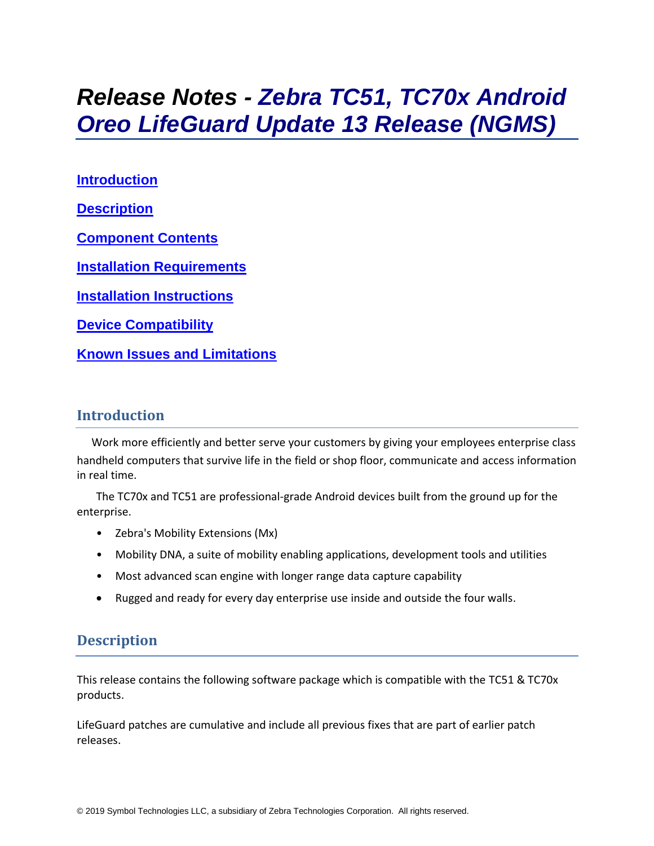# *Release Notes - Zebra TC51, TC70x Android Oreo LifeGuard Update 13 Release (NGMS)*

**[Introduction](#page-0-0) [Description](#page-0-1) [Component Contents](#page-1-0) [Installation Requirements](#page-3-0) [Installation Instructions](#page-4-0) [Device Compatibility](#page-5-0) Known [Issues and Limitations](#page-6-0)**

## <span id="page-0-0"></span>**Introduction**

Work more efficiently and better serve your customers by giving your employees enterprise class handheld computers that survive life in the field or shop floor, communicate and access information in real time.

The TC70x and TC51 are professional-grade Android devices built from the ground up for the enterprise.

- Zebra's Mobility Extensions (Mx)
- Mobility DNA, a suite of mobility enabling applications, development tools and utilities
- Most advanced scan engine with longer range data capture capability
- <span id="page-0-1"></span>• Rugged and ready for every day enterprise use inside and outside the four walls.

## **Description**

This release contains the following software package which is compatible with the TC51 & TC70x products.

LifeGuard patches are cumulative and include all previous fixes that are part of earlier patch releases.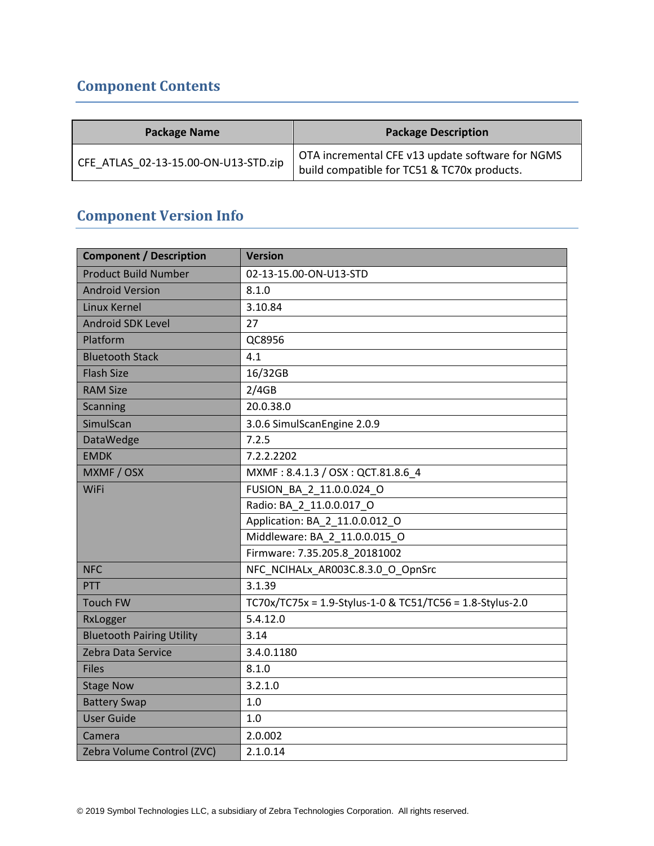## <span id="page-1-0"></span>**Component Contents**

| <b>Package Name</b>                  | <b>Package Description</b>                                                                      |
|--------------------------------------|-------------------------------------------------------------------------------------------------|
| CFE ATLAS 02-13-15.00-ON-U13-STD.zip | OTA incremental CFE v13 update software for NGMS<br>build compatible for TC51 & TC70x products. |

## **Component Version Info**

| <b>Component / Description</b>   | <b>Version</b>                                            |  |
|----------------------------------|-----------------------------------------------------------|--|
| <b>Product Build Number</b>      | 02-13-15.00-ON-U13-STD                                    |  |
| <b>Android Version</b>           | 8.1.0                                                     |  |
| Linux Kernel                     | 3.10.84                                                   |  |
| <b>Android SDK Level</b>         | 27                                                        |  |
| Platform                         | QC8956                                                    |  |
| <b>Bluetooth Stack</b>           | 4.1                                                       |  |
| <b>Flash Size</b>                | 16/32GB                                                   |  |
| <b>RAM Size</b>                  | 2/4GB                                                     |  |
| <b>Scanning</b>                  | 20.0.38.0                                                 |  |
| SimulScan                        | 3.0.6 SimulScanEngine 2.0.9                               |  |
| <b>DataWedge</b>                 | 7.2.5                                                     |  |
| <b>EMDK</b>                      | 7.2.2.2202                                                |  |
| MXMF / OSX                       | MXMF: 8.4.1.3 / OSX: QCT.81.8.6_4                         |  |
| <b>WiFi</b>                      | FUSION_BA_2_11.0.0.024_O                                  |  |
|                                  | Radio: BA_2_11.0.0.017_O                                  |  |
|                                  | Application: BA_2_11.0.0.012_O                            |  |
|                                  | Middleware: BA_2_11.0.0.015_O                             |  |
|                                  | Firmware: 7.35.205.8 20181002                             |  |
| <b>NFC</b>                       | NFC NCIHALx AR003C.8.3.0 O OpnSrc                         |  |
| PTT                              | 3.1.39                                                    |  |
| <b>Touch FW</b>                  | TC70x/TC75x = 1.9-Stylus-1-0 & TC51/TC56 = 1.8-Stylus-2.0 |  |
| RxLogger                         | 5.4.12.0                                                  |  |
| <b>Bluetooth Pairing Utility</b> | 3.14                                                      |  |
| Zebra Data Service               | 3.4.0.1180                                                |  |
| <b>Files</b>                     | 8.1.0                                                     |  |
| <b>Stage Now</b>                 | 3.2.1.0                                                   |  |
| <b>Battery Swap</b>              | 1.0                                                       |  |
| <b>User Guide</b>                | 1.0                                                       |  |
| Camera                           | 2.0.002                                                   |  |
| Zebra Volume Control (ZVC)       | 2.1.0.14                                                  |  |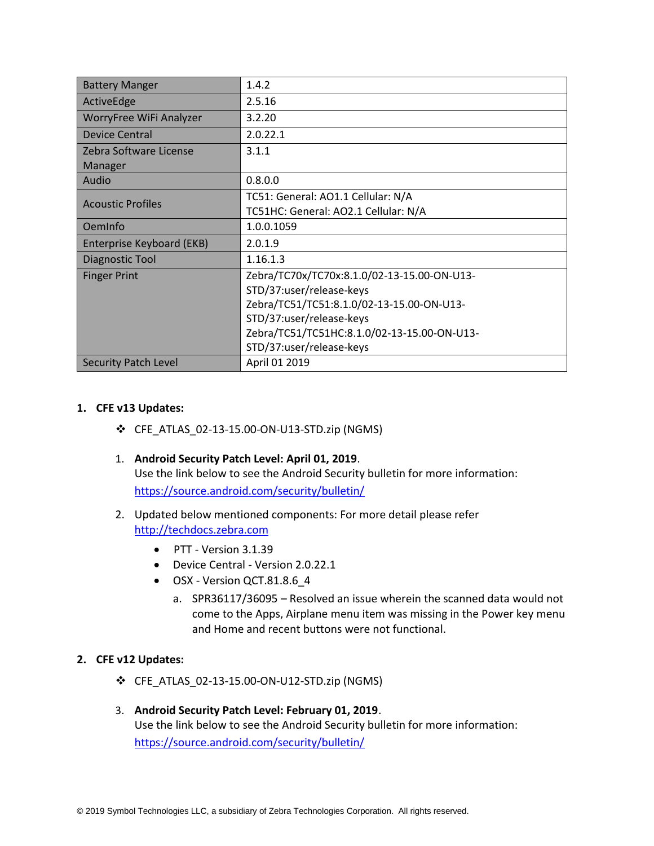| <b>Battery Manger</b>                       | 1.4.2                                       |
|---------------------------------------------|---------------------------------------------|
| ActiveEdge                                  | 2.5.16                                      |
| WorryFree WiFi Analyzer                     | 3.2.20                                      |
| <b>Device Central</b>                       | 2.0.22.1                                    |
| Zebra Software License                      | 3.1.1                                       |
| Manager                                     |                                             |
| Audio                                       | 0.8.0.0                                     |
|                                             | TC51: General: AO1.1 Cellular: N/A          |
| <b>Acoustic Profiles</b>                    | TC51HC: General: AO2.1 Cellular: N/A        |
| OemInfo                                     | 1.0.0.1059                                  |
| Enterprise Keyboard (EKB)                   | 2.0.1.9                                     |
| Diagnostic Tool                             | 1.16.1.3                                    |
| <b>Finger Print</b>                         | Zebra/TC70x/TC70x:8.1.0/02-13-15.00-ON-U13- |
|                                             | STD/37:user/release-keys                    |
|                                             | Zebra/TC51/TC51:8.1.0/02-13-15.00-ON-U13-   |
|                                             | STD/37:user/release-keys                    |
| Zebra/TC51/TC51HC:8.1.0/02-13-15.00-ON-U13- |                                             |
|                                             | STD/37:user/release-keys                    |
| <b>Security Patch Level</b>                 | April 01 2019                               |

#### **1. CFE v13 Updates:**

- ❖ CFE\_ATLAS\_02-13-15.00-ON-U13-STD.zip (NGMS)
- 1. **Android Security Patch Level: April 01, 2019**. Use the link below to see the Android Security bulletin for more information: <https://source.android.com/security/bulletin/>
- 2. Updated below mentioned components: For more detail please refer [http://techdocs.zebra.com](http://techdocs.zebra.com/)
	- PTT Version 3.1.39
	- Device Central Version 2.0.22.1
	- OSX Version QCT.81.8.6\_4
		- a. SPR36117/36095 Resolved an issue wherein the scanned data would not come to the Apps, Airplane menu item was missing in the Power key menu and Home and recent buttons were not functional.

#### **2. CFE v12 Updates:**

- ❖ CFE\_ATLAS\_02-13-15.00-ON-U12-STD.zip (NGMS)
- 3. **Android Security Patch Level: February 01, 2019**. Use the link below to see the Android Security bulletin for more information: <https://source.android.com/security/bulletin/>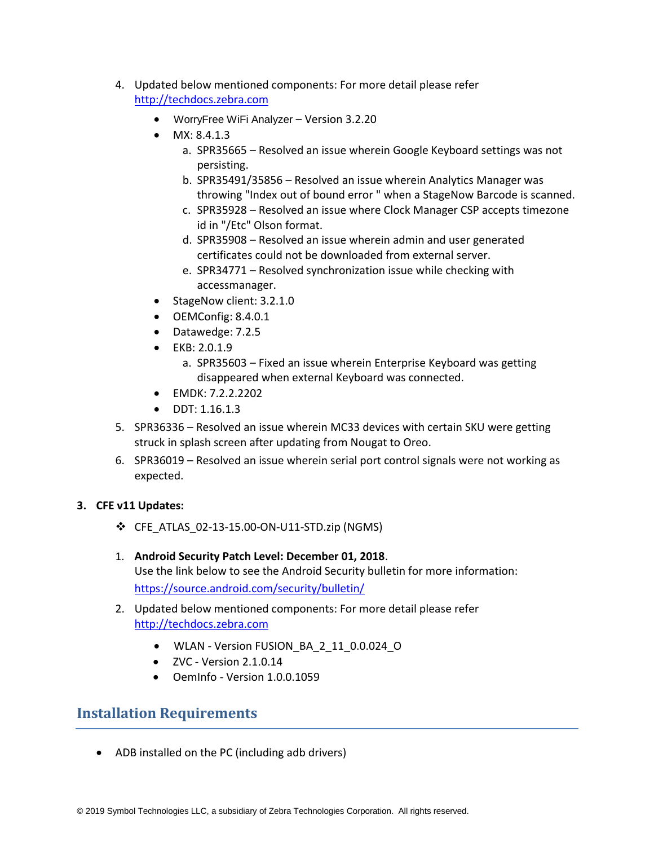- 4. Updated below mentioned components: For more detail please refer [http://techdocs.zebra.com](http://techdocs.zebra.com/)
	- WorryFree WiFi Analyzer Version 3.2.20
	- MX: 8.4.1.3
		- a. SPR35665 Resolved an issue wherein Google Keyboard settings was not persisting.
		- b. SPR35491/35856 Resolved an issue wherein Analytics Manager was throwing "Index out of bound error " when a StageNow Barcode is scanned.
		- c. SPR35928 Resolved an issue where Clock Manager CSP accepts timezone id in "/Etc" Olson format.
		- d. SPR35908 Resolved an issue wherein admin and user generated certificates could not be downloaded from external server.
		- e. SPR34771 Resolved synchronization issue while checking with accessmanager.
	- StageNow client: 3.2.1.0
	- OEMConfig: 8.4.0.1
	- Datawedge: 7.2.5
	- EKB: 2.0.1.9
		- a. SPR35603 Fixed an issue wherein Enterprise Keyboard was getting disappeared when external Keyboard was connected.
	- EMDK: 7.2.2.2202
	- DDT: 1.16.1.3
- 5. SPR36336 Resolved an issue wherein MC33 devices with certain SKU were getting struck in splash screen after updating from Nougat to Oreo.
- 6. SPR36019 Resolved an issue wherein serial port control signals were not working as expected.

#### **3. CFE v11 Updates:**

- ❖ CFE\_ATLAS\_02-13-15.00-ON-U11-STD.zip (NGMS)
- 1. **Android Security Patch Level: December 01, 2018**. Use the link below to see the Android Security bulletin for more information: <https://source.android.com/security/bulletin/>
- 2. Updated below mentioned components: For more detail please refer [http://techdocs.zebra.com](http://techdocs.zebra.com/)
	- WLAN Version FUSION\_BA\_2\_11\_0.0.024\_O
	- $\bullet$  ZVC Version 2.1.0.14
	- OemInfo Version 1.0.0.1059

## <span id="page-3-0"></span>**Installation Requirements**

• ADB installed on the PC (including adb drivers)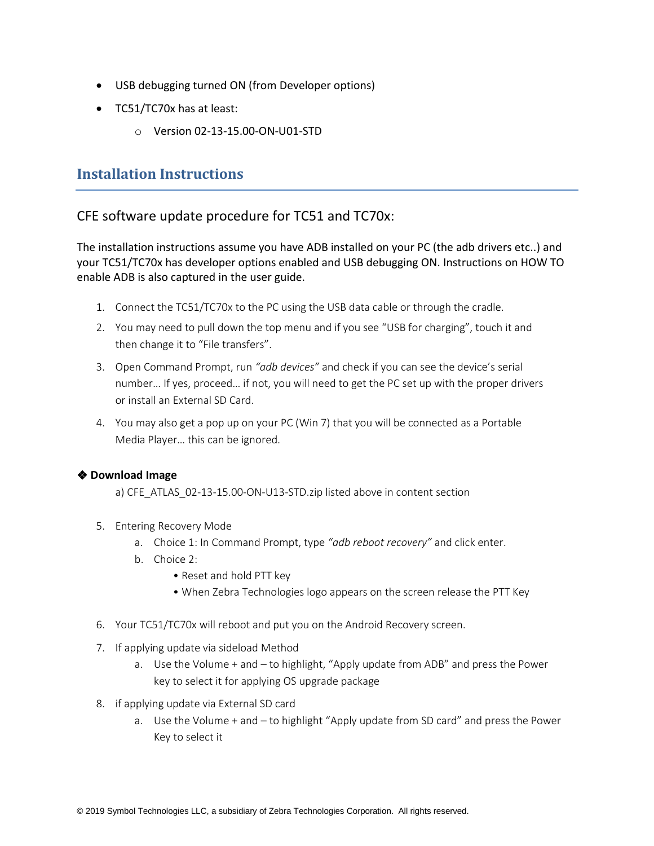- USB debugging turned ON (from Developer options)
- TC51/TC70x has at least:
	- o Version 02-13-15.00-ON-U01-STD

## <span id="page-4-0"></span>**Installation Instructions**

### CFE software update procedure for TC51 and TC70x:

The installation instructions assume you have ADB installed on your PC (the adb drivers etc..) and your TC51/TC70x has developer options enabled and USB debugging ON. Instructions on HOW TO enable ADB is also captured in the user guide.

- 1. Connect the TC51/TC70x to the PC using the USB data cable or through the cradle.
- 2. You may need to pull down the top menu and if you see "USB for charging", touch it and then change it to "File transfers".
- 3. Open Command Prompt, run *"adb devices"* and check if you can see the device's serial number… If yes, proceed… if not, you will need to get the PC set up with the proper drivers or install an External SD Card.
- 4. You may also get a pop up on your PC (Win 7) that you will be connected as a Portable Media Player… this can be ignored.

#### ❖ **Download Image**

a) CFE\_ATLAS\_02-13-15.00-ON-U13-STD.zip listed above in content section

- 5. Entering Recovery Mode
	- a. Choice 1: In Command Prompt, type *"adb reboot recovery"* and click enter.
	- b. Choice 2:
		- Reset and hold PTT key
		- When Zebra Technologies logo appears on the screen release the PTT Key
- 6. Your TC51/TC70x will reboot and put you on the Android Recovery screen.
- 7. If applying update via sideload Method
	- a. Use the Volume + and to highlight, "Apply update from ADB" and press the Power key to select it for applying OS upgrade package
- 8. if applying update via External SD card
	- a. Use the Volume + and to highlight "Apply update from SD card" and press the Power Key to select it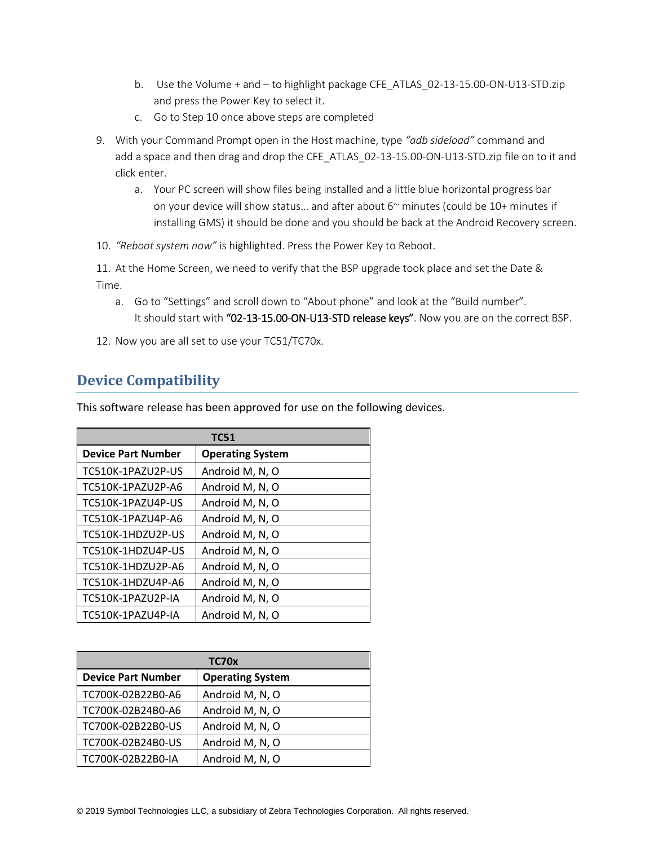- b. Use the Volume + and to highlight package CFE\_ATLAS\_02-13-15.00-ON-U13-STD.zip and press the Power Key to select it.
- c. Go to Step 10 once above steps are completed
- 9. With your Command Prompt open in the Host machine, type *"adb sideload"* command and add a space and then drag and drop the CFE\_ATLAS\_02-13-15.00-ON-U13-STD.zip file on to it and click enter.
	- a. Your PC screen will show files being installed and a little blue horizontal progress bar on your device will show status… and after about 6~ minutes (could be 10+ minutes if installing GMS) it should be done and you should be back at the Android Recovery screen.
- 10. *"Reboot system now"* is highlighted. Press the Power Key to Reboot.

11. At the Home Screen, we need to verify that the BSP upgrade took place and set the Date & Time.

- a. Go to "Settings" and scroll down to "About phone" and look at the "Build number". It should start with "02-13-15.00-ON-U13-STD release keys". Now you are on the correct BSP.
- 12. Now you are all set to use your TC51/TC70x.

## <span id="page-5-0"></span>**Device Compatibility**

This software release has been approved for use on the following devices.

| <b>TC51</b>               |                         |  |
|---------------------------|-------------------------|--|
| <b>Device Part Number</b> | <b>Operating System</b> |  |
| TC510K-1PAZU2P-US         | Android M, N, O         |  |
| TC510K-1PAZU2P-A6         | Android M, N, O         |  |
| TC510K-1PAZU4P-US         | Android M, N, O         |  |
| TC510K-1PAZU4P-A6         | Android M, N, O         |  |
| TC510K-1HDZU2P-US         | Android M, N, O         |  |
| TC510K-1HDZU4P-US         | Android M, N, O         |  |
| TC510K-1HDZU2P-A6         | Android M, N, O         |  |
| TC510K-1HDZU4P-A6         | Android M, N, O         |  |
| TC510K-1PAZU2P-IA         | Android M, N, O         |  |
| TC510K-1PAZU4P-IA         | Android M, N, O         |  |

| TC70x                     |                         |  |
|---------------------------|-------------------------|--|
| <b>Device Part Number</b> | <b>Operating System</b> |  |
| TC700K-02B22B0-A6         | Android M, N, O         |  |
| TC700K-02B24B0-A6         | Android M, N, O         |  |
| TC700K-02B22B0-US         | Android M, N, O         |  |
| TC700K-02B24B0-US         | Android M, N, O         |  |
| TC700K-02B22B0-IA         | Android M, N, O         |  |